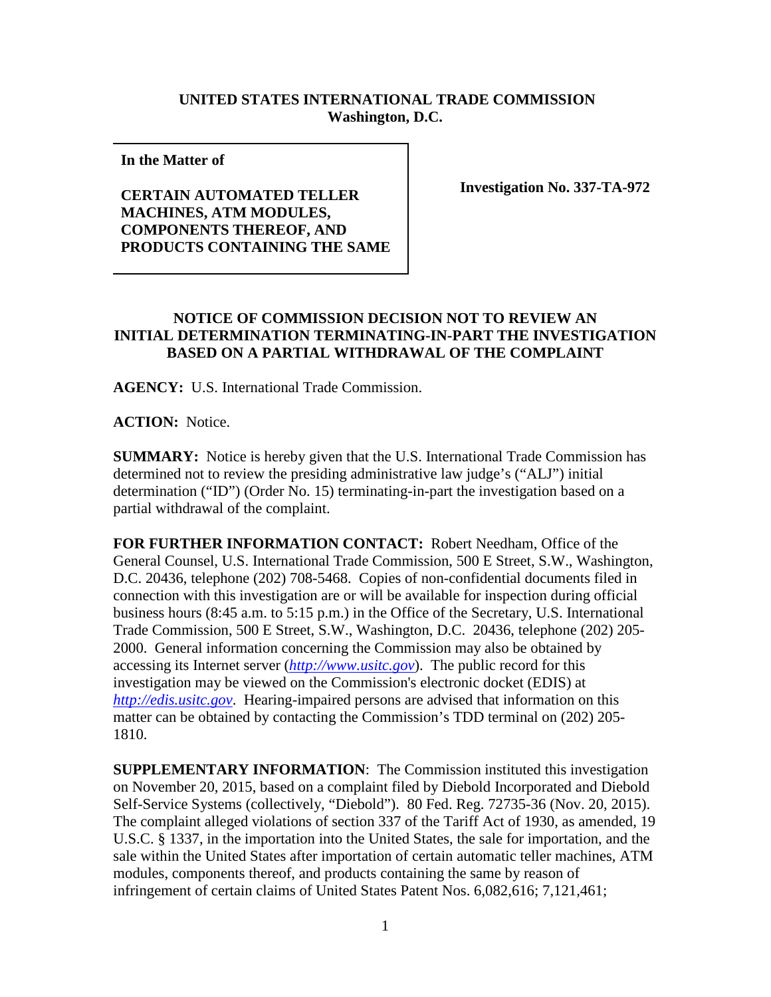## **UNITED STATES INTERNATIONAL TRADE COMMISSION Washington, D.C.**

**In the Matter of** 

**CERTAIN AUTOMATED TELLER MACHINES, ATM MODULES, COMPONENTS THEREOF, AND PRODUCTS CONTAINING THE SAME** **Investigation No. 337-TA-972**

## **NOTICE OF COMMISSION DECISION NOT TO REVIEW AN INITIAL DETERMINATION TERMINATING-IN-PART THE INVESTIGATION BASED ON A PARTIAL WITHDRAWAL OF THE COMPLAINT**

**AGENCY:** U.S. International Trade Commission.

**ACTION:** Notice.

**SUMMARY:** Notice is hereby given that the U.S. International Trade Commission has determined not to review the presiding administrative law judge's ("ALJ") initial determination ("ID") (Order No. 15) terminating-in-part the investigation based on a partial withdrawal of the complaint.

**FOR FURTHER INFORMATION CONTACT:** Robert Needham, Office of the General Counsel, U.S. International Trade Commission, 500 E Street, S.W., Washington, D.C. 20436, telephone (202) 708-5468. Copies of non-confidential documents filed in connection with this investigation are or will be available for inspection during official business hours (8:45 a.m. to 5:15 p.m.) in the Office of the Secretary, U.S. International Trade Commission, 500 E Street, S.W., Washington, D.C. 20436, telephone (202) 205- 2000. General information concerning the Commission may also be obtained by accessing its Internet server (*[http://www.usitc.gov](http://www.usitc.gov/)*). The public record for this investigation may be viewed on the Commission's electronic docket (EDIS) at *[http://edis.usitc.gov](http://edis.usitc.gov/)*. Hearing-impaired persons are advised that information on this matter can be obtained by contacting the Commission's TDD terminal on (202) 205- 1810.

**SUPPLEMENTARY INFORMATION**: The Commission instituted this investigation on November 20, 2015, based on a complaint filed by Diebold Incorporated and Diebold Self-Service Systems (collectively, "Diebold"). 80 Fed. Reg. 72735-36 (Nov. 20, 2015). The complaint alleged violations of section 337 of the Tariff Act of 1930, as amended, 19 U.S.C. § 1337, in the importation into the United States, the sale for importation, and the sale within the United States after importation of certain automatic teller machines, ATM modules, components thereof, and products containing the same by reason of infringement of certain claims of United States Patent Nos. 6,082,616; 7,121,461;